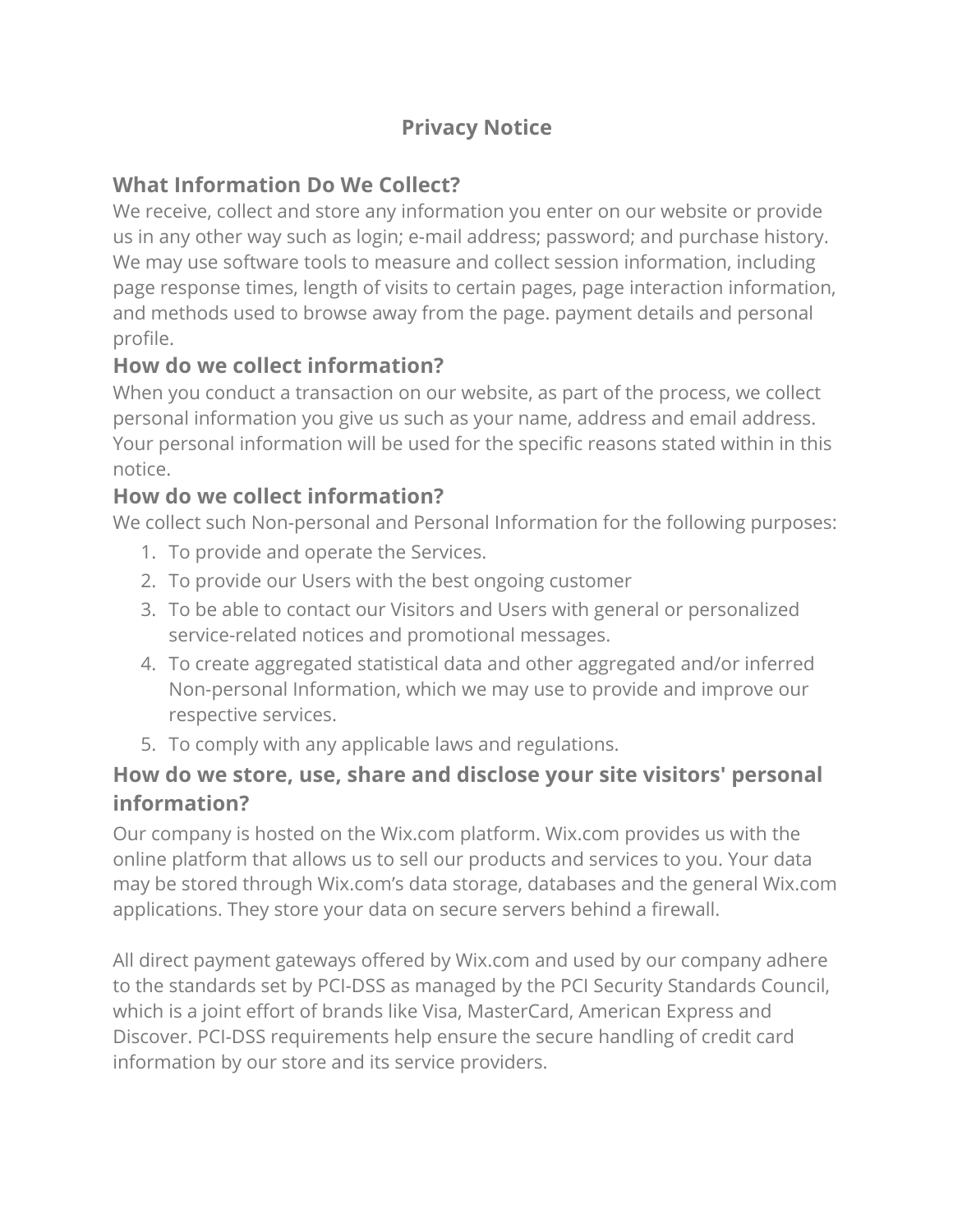# **Privacy Notice**

### **What Information Do We Collect?**

We receive, collect and store any information you enter on our website or provide us in any other way such as login; e-mail address; password; and purchase history. We may use software tools to measure and collect session information, including page response times, length of visits to certain pages, page interaction information, and methods used to browse away from the page. payment details and personal profile.

### **How do we collect information?**

When you conduct a transaction on our website, as part of the process, we collect personal information you give us such as your name, address and email address. Your personal information will be used for the specific reasons stated within in this notice.

#### **How do we collect information?**

We collect such Non-personal and Personal Information for the following purposes:

- 1. To provide and operate the Services.
- 2. To provide our Users with the best ongoing customer
- 3. To be able to contact our Visitors and Users with general or personalized service-related notices and promotional messages.
- 4. To create aggregated statistical data and other aggregated and/or inferred Non-personal Information, which we may use to provide and improve our respective services.
- 5. To comply with any applicable laws and regulations.

#### **How do we store, use, share and disclose your site visitors' personal information?**

Our company is hosted on the Wix.com platform. Wix.com provides us with the online platform that allows us to sell our products and services to you. Your data may be stored through Wix.com's data storage, databases and the general Wix.com applications. They store your data on secure servers behind a firewall.

All direct payment gateways offered by Wix.com and used by our company adhere to the standards set by PCI-DSS as managed by the PCI Security Standards Council, which is a joint effort of brands like Visa, MasterCard, American Express and Discover. PCI-DSS requirements help ensure the secure handling of credit card information by our store and its service providers.